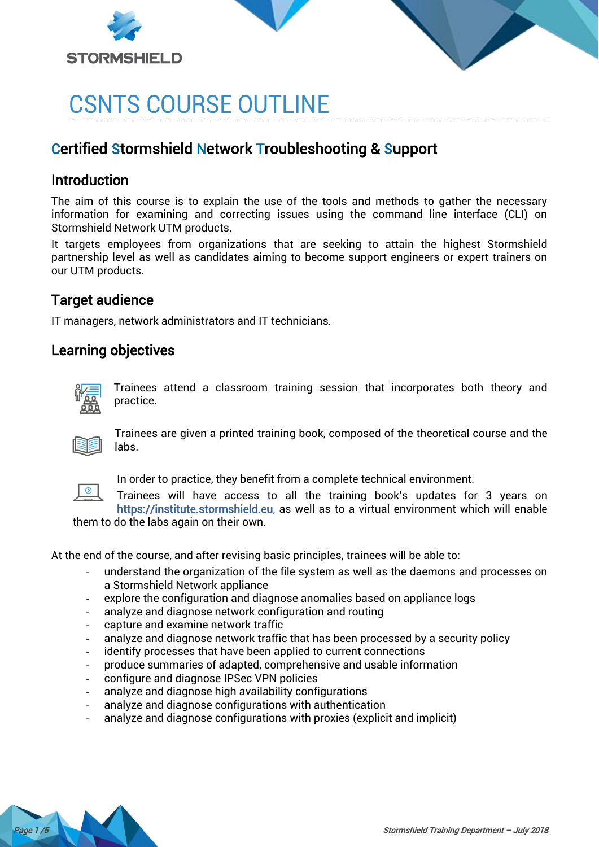



# CSNTS COURSE OUTLINE

# Certified Stormshield Network Troubleshooting & Support

## Introduction

The aim of this course is to explain the use of the tools and methods to gather the necessary information for examining and correcting issues using the command line interface (CLI) on Stormshield Network UTM products.

It targets employees from organizations that are seeking to attain the highest Stormshield partnership level as well as candidates aiming to become support engineers or expert trainers on our UTM products.

## Target audience

IT managers, network administrators and IT technicians.

## Learning objectives



Trainees attend a classroom training session that incorporates both theory and practice.



Trainees are given a printed training book, composed of the theoretical course and the labs.



In order to practice, they benefit from a complete technical environment.

Trainees will have access to all the training book's updates for 3 years on [https://institute.stormshield.eu,](https://institute.stormshield.eu/) as well as to a virtual environment which will enable them to do the labs again on their own.

At the end of the course, and after revising basic principles, trainees will be able to:

- understand the organization of the file system as well as the daemons and processes on a Stormshield Network appliance
- explore the configuration and diagnose anomalies based on appliance logs
- analyze and diagnose network configuration and routing
- capture and examine network traffic
- analyze and diagnose network traffic that has been processed by a security policy
- identify processes that have been applied to current connections
- produce summaries of adapted, comprehensive and usable information
- configure and diagnose IPSec VPN policies
- analyze and diagnose high availability configurations
- analyze and diagnose configurations with authentication
- analyze and diagnose configurations with proxies (explicit and implicit)

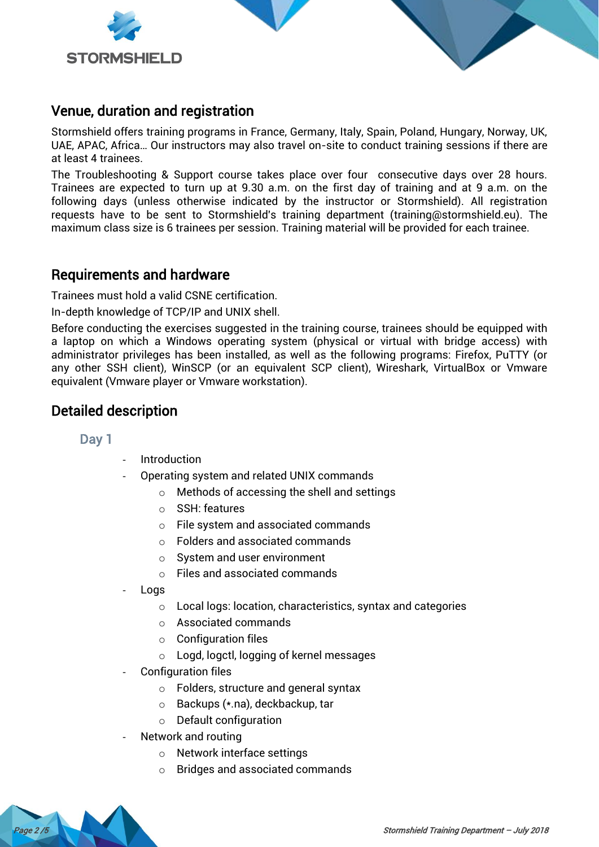



Stormshield offers training programs in France, Germany, Italy, Spain, Poland, Hungary, Norway, UK, UAE, APAC, Africa… Our instructors may also travel on-site to conduct training sessions if there are at least 4 trainees.

The Troubleshooting & Support course takes place over four consecutive days over 28 hours. Trainees are expected to turn up at 9.30 a.m. on the first day of training and at 9 a.m. on the following days (unless otherwise indicated by the instructor or Stormshield). All registration requests have to be sent to Stormshield's training department [\(training@stormshield.eu\)](mailto:training@stormshield.eu). The maximum class size is 6 trainees per session. Training material will be provided for each trainee.

## Requirements and hardware

Trainees must hold a valid CSNE certification.

In-depth knowledge of TCP/IP and UNIX shell.

Before conducting the exercises suggested in the training course, trainees should be equipped with a laptop on which a Windows operating system (physical or virtual with bridge access) with administrator privileges has been installed, as well as the following programs: Firefox, PuTTY (or any other SSH client), WinSCP (or an equivalent SCP client), Wireshark, VirtualBox or Vmware equivalent (Vmware player or Vmware workstation).

## Detailed description

#### Day 1

- **Introduction**
- Operating system and related UNIX commands
	- o Methods of accessing the shell and settings
	- o SSH: features
	- o File system and associated commands
	- o Folders and associated commands
	- $\circ$  System and user environment
	- o Files and associated commands
- Logs
	- o Local logs: location, characteristics, syntax and categories
	- o Associated commands
	- $\circ$  Configuration files
	- o Logd, logctl, logging of kernel messages
- Configuration files
	- o Folders, structure and general syntax
	- o Backups (\*.na), deckbackup, tar
	- o Default configuration
- Network and routing
	- o Network interface settings
	- o Bridges and associated commands

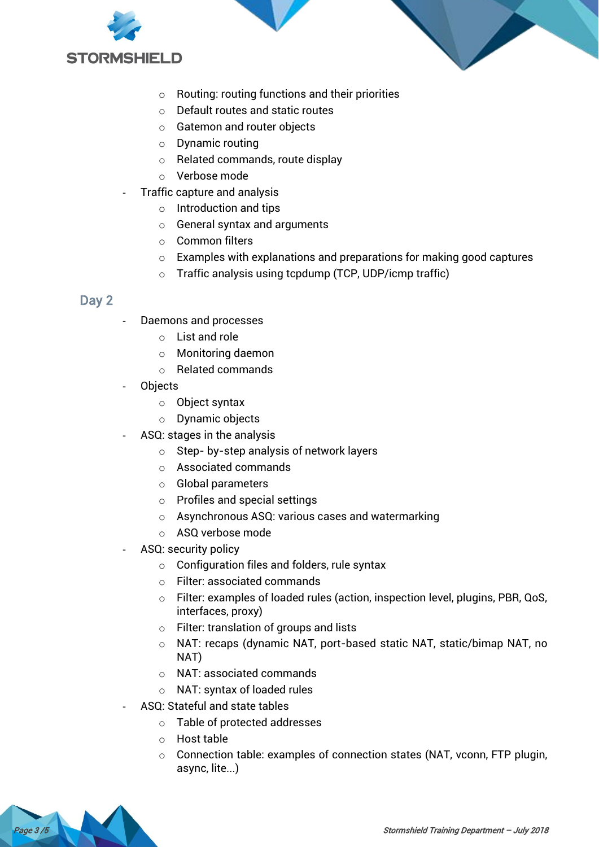



- o Default routes and static routes
- o Gatemon and router objects
- o Dynamic routing
- o Related commands, route display
- o Verbose mode
- Traffic capture and analysis
	- o Introduction and tips
	- o General syntax and arguments
	- o Common filters
	- o Examples with explanations and preparations for making good captures
	- o Traffic analysis using tcpdump (TCP, UDP/icmp traffic)

#### Day 2

- Daemons and processes
	- o List and role
	- o Monitoring daemon
	- o Related commands
- **Objects** 
	- o Object syntax
	- o Dynamic objects
- ASQ: stages in the analysis
	- o Step- by-step analysis of network layers
	- o Associated commands
	- o Global parameters
	- o Profiles and special settings
	- o Asynchronous ASQ: various cases and watermarking
	- o ASQ verbose mode
- ASQ: security policy
	- o Configuration files and folders, rule syntax
	- o Filter: associated commands
	- o Filter: examples of loaded rules (action, inspection level, plugins, PBR, QoS, interfaces, proxy)
	- o Filter: translation of groups and lists
	- o NAT: recaps (dynamic NAT, port-based static NAT, static/bimap NAT, no NAT)
	- o NAT: associated commands
	- o NAT: syntax of loaded rules
- ASQ: Stateful and state tables
	- o Table of protected addresses
	- o Host table
	- o Connection table: examples of connection states (NAT, vconn, FTP plugin, async, lite...)

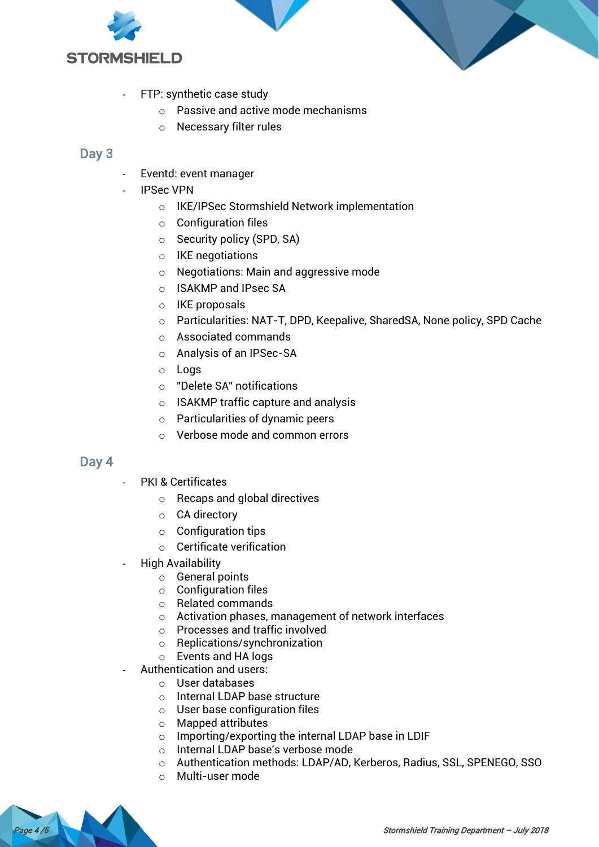



- FTP: synthetic case study
	- $\circ$  Passive and active mode mechanisms
	- o Necessary filter rules

#### Day 3

- Eventd: event manager
- **IPSec VPN** 
	- o IKE/IPSec Stormshield Network implementation
	- $\circ$  Configuration files
	- o Security policy (SPD, SA)
	- o IKE negotiations
	- o Negotiations: Main and aggressive mode
	- o ISAKMP and IPsec SA
	- o IKE proposals
	- o Particularities: NAT-T, DPD, Keepalive, SharedSA, None policy, SPD Cache
	- o Associated commands
	- o Analysis of an IPSec-SA
	- o Logs
	- o "Delete SA" notifications
	- o ISAKMP traffic capture and analysis
	- o Particularities of dynamic peers
	- o Verbose mode and common errors

#### Day 4

- PKI & Certificates
	- o Recaps and global directives
	- o CA directory
	- $\circ$  Configuration tips
	- o Certificate verification
- High Availability
	- o General points
	- $\circ$  Configuration files
	- o Related commands
	- o Activation phases, management of network interfaces
	- o Processes and traffic involved
	- o Replications/synchronization
	- o Events and HA logs
- Authentication and users:
	- o User databases
	- o Internal LDAP base structure
	- o User base configuration files
	- o Mapped attributes
	- o Importing/exporting the internal LDAP base in LDIF
	- o Internal LDAP base's verbose mode
	- o Authentication methods: LDAP/AD, Kerberos, Radius, SSL, SPENEGO, SSO
	- o Multi-user mode